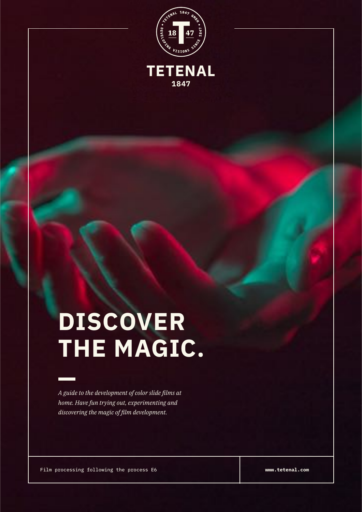

**TETENAL**

**1847**

## **DISCOVER THE MAGIC.**

*A guide to the development of color slide films at home. Have fun trying out, experimenting and discovering the magic of film development.*

Film processing following the process E6

**www.tetenal.com**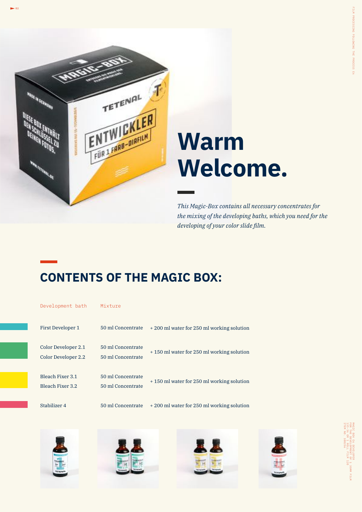

## **Warm Welcome.**

*This Magic-Box contains all necessary concentrates for the mixing of the developing baths, which you need for the developing of your color slide film.*

#### **CONTENTS OF THE MAGIC BOX:**

| Development bath                                   | Mixture                                |                                           |
|----------------------------------------------------|----------------------------------------|-------------------------------------------|
| First Developer 1                                  | 50 ml Concentrate                      | +200 ml water for 250 ml working solution |
| Color Developer 2.1<br>Color Developer 2.2         | 50 ml Concentrate<br>50 ml Concentrate | +150 ml water for 250 ml working solution |
| <b>Bleach Fixer 3.1</b><br><b>Bleach Fixer 3.2</b> | 50 ml Concentrate<br>50 ml Concentrate | +150 ml water for 250 ml working solution |
| Stabilizer 4                                       | 50 ml Concentrate                      | +200 ml water for 250 ml working solution |







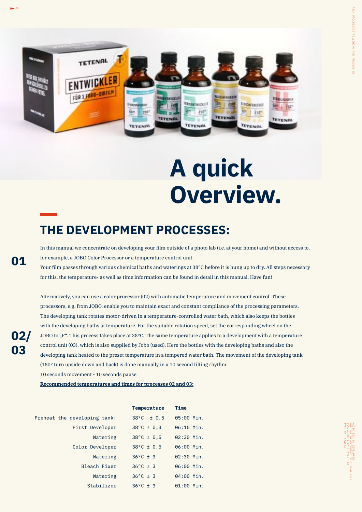

## **A quick Overview.**

#### **THE DEVELOPMENT PROCESSES:**

In this manual we concentrate on developing your film outside of a photo lab (i.e. at your home) and without access to, for example, a JOBO Color Processor or a temperature control unit.

Your film passes through various chemical baths and waterings at 38°C before it is hung up to dry. All steps necessary for this, the temperature- as well as time information can be found in detail in this manual. Have fun!

Alternatively, you can use a color processor (02) with automatic temperature and movement control. These processors, e.g. from JOBO, enable you to maintain exact and constant compliance of the processing parameters. The developing tank rotates motor-driven in a temperature-controlled water bath, which also keeps the bottles with the developing baths at temperature. For the suitable rotation speed, set the corresponding wheel on the JOBO to "F". This process takes place at 38°C. The same temperature applies to a development with a temperature control unit (03), which is also supplied by Jobo (used). Here the bottles with the developing baths and also the developing tank heated to the preset temperature in a tempered water bath. The movement of the developing tank (180° turn upside down and back) is done manually in a 10 second tilting rhythm: 10 seconds movement - 10 seconds pause.

**Recommended temperatures and times for processes 02 and 03:**

|                              | <b>Temperature</b>       | <b>Time</b>  |
|------------------------------|--------------------------|--------------|
| Preheat the developing tank: | $38^{\circ}$ C $\pm$ 0.5 | 05:00 Min.   |
| First Developer              | $38^{\circ}$ C ± 0.3     | $06:15$ Min. |
| Watering                     | $38^{\circ}$ C ± 0,5     | $02:30$ Min. |
| Color Developer              | $38^{\circ}$ C ± 0,5     | 06:00 Min.   |
| Watering                     | $36^{\circ}$ C ± 3       | $02:30$ Min. |
| Bleach Fixer                 | $36^{\circ}$ C ± 3       | 06:00 Min.   |
| Watering                     | $36^{\circ}$ C ± 3       | 04:00 Min.   |
| Stabilizer                   | $36^{\circ}$ C ± 3       | $01:00$ Min. |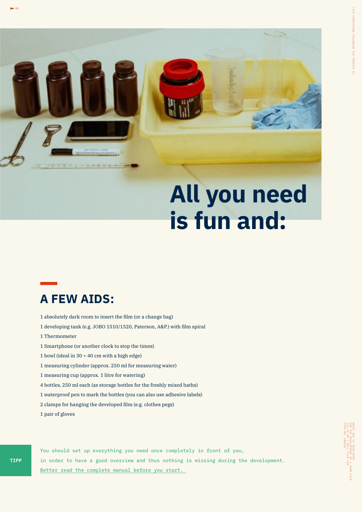

## **All you need is fun and:**

#### **A FEW AIDS:**

- 1 absolutely dark room to insert the film (or a change bag)
- 1 developing tank (e.g. JOBO 1510/1520, Paterson, A&P.) with film spiral
- 1 Thermometer
- 1 Smartphone (or another clock to stop the times)
- 1 bowl (ideal in  $30 \times 40$  cm with a high edge)
- 1 measuring cylinder (approx. 250 ml for measuring water)
- 1 measuring cup (approx. 1 litre for watering)
- 4 bottles, 250 ml each (as storage bottles for the freshly mixed baths)
- 1 waterproof pen to mark the bottles (you can also use adhesive labels)
- 2 clamps for hanging the developed film (e.g. clothes pegs)
- 1 pair of gloves

You should set up everything you need once completely in front of you, in order to have a good overview and thus nothing is missing during the development. Better read the complete manual before you start.

 $\sim$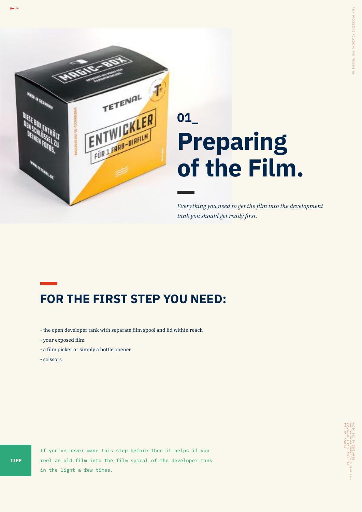

## **01\_ Preparing of the Film.**

*Everything you need to get the film into the development tank you should get ready first.*

#### **FOR THE FIRST STEP YOU NEED:**

- the open developer tank with separate film spool and lid within reach
- your exposed film
- a film picker or simply a bottle opener
- scissors

If you've never made this step before then it helps if you reel an old film into the film spiral of the developer tank in the light a few times.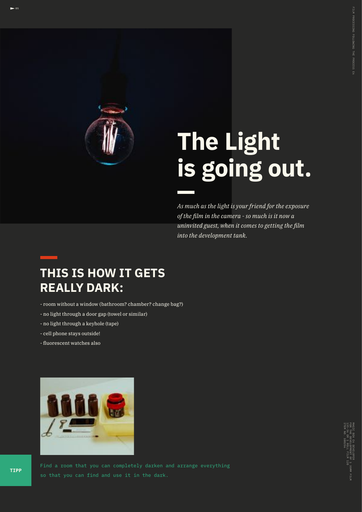

## **The Light is going out.**

*As much as the light is your friend for the exposure of the film in the camera - so much is it now a uninvited guest, when it comes to getting the film into the development tank.*

 $\overline{205}$ 

#### **THIS IS HOW IT GETS REALLY DARK:**

- room without a window (bathroom? chamber? change bag?)
- no light through a door gap (towel or similar)
- no light through a keyhole (tape)
- cell phone stays outside!
- fluorescent watches also



Find a room that you can completely darken and arrange everything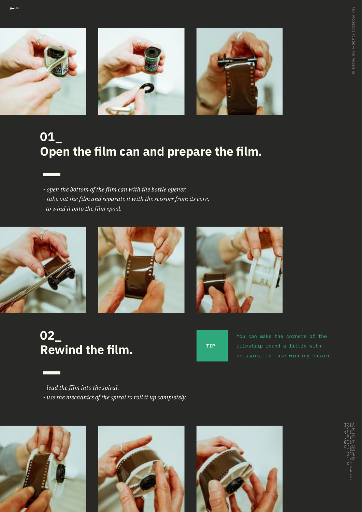

 $-95$ 





#### **01\_ Open the film can and prepare the film.**

- *open the bottom of the film can with the bottle opener.*
- *take out the film and separate it with the scissors from its core,*
- *to wind it onto the film spool.*







#### **02\_ Rewind the film.**



*- lead the film into the spiral.*

*- use the mechanics of the spiral to roll it up completely.*

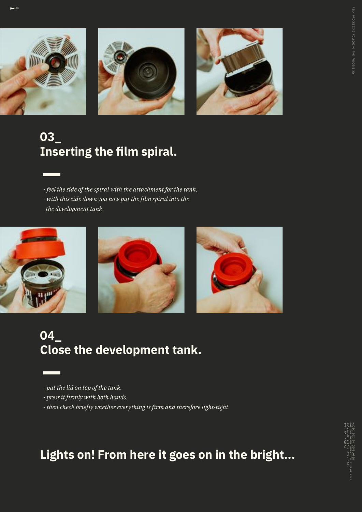





### **03\_ Inserting the film spiral.**

*- feel the side of the spiral with the attachment for the tank. - with this side down you now put the film spiral into the the development tank.*



#### **04\_ Close the development tank.**

- *put the lid on top of the tank.*
- *press it firmly with both hands.*
- *then check briefly whether everything is firm and therefore light-tight.*

#### **Lights on! From here it goes on in the bright...**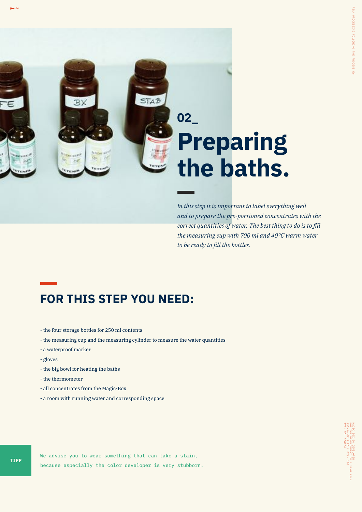

# **Preparing the baths.**

*In this step it is important to label everything well and to prepare the pre-portioned concentrates with the correct quantities of water. The best thing to do is to fill the measuring cup with 700 ml and 40°C warm water to be ready to fill the bottles.*

#### **FOR THIS STEP YOU NEED:**

- the four storage bottles for 250 ml contents
- the measuring cup and the measuring cylinder to measure the water quantities
- a waterproof marker
- gloves
- the big bowl for heating the baths
- the thermometer
- all concentrates from the Magic-Box
- a room with running water and corresponding space

We advise you to wear something that can take a stain, because especially the color developer is very stubborn.

 $\sim$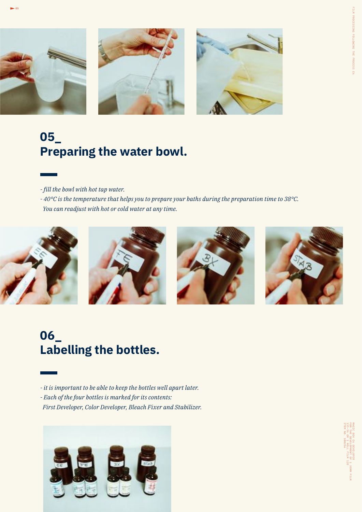





### **05\_ Preparing the water bowl.**

*- fill the bowl with hot tap water.*

*- 40°C is the temperature that helps you to prepare your baths during the preparation time to 38°C. You can readjust with hot or cold water at any time.*



#### **06\_ Labelling the bottles.**

*- it is important to be able to keep the bottles well apart later. - Each of the four bottles is marked for its contents: First Developer, Color Developer, Bleach Fixer and Stabilizer.*

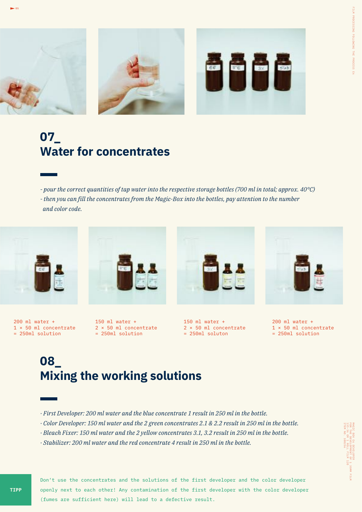

#### **07\_ Water for concentrates**

*- pour the correct quantities of tap water into the respective storage bottles (700 ml in total; approx. 40°C)*

*- then you can fill the concentrates from the Magic-Box into the bottles, pay attention to the number and color code.*



 $-$  05

200 ml water + 1 × 50 ml concentrate = 250ml solution



150 ml water + 2 × 50 ml concentrate = 250ml solution



150 ml water + 2 × 50 ml concentrate = 250ml soluton



200 ml water + 1 × 50 ml concentrate = 250ml solution

#### **08\_ Mixing the working solutions**

- *· First Developer: 200 ml water and the blue concentrate 1 result in 250 ml in the bottle.*
- *· Color Developer: 150 ml water and the 2 green concentrates 2.1 & 2.2 result in 250 ml in the bottle.*
- *· Bleach Fixer: 150 ml water and the 2 yellow concentrates 3.1, 3.2 result in 250 ml in the bottle.*
- *· Stabilizer: 200 ml water and the red concentrate 4 result in 250 ml in the bottle.*

Don't use the concentrates and the solutions of the first developer and the color developer openly next to each other! Any contamination of the first developer with the color developer (fumes are sufficient here) will lead to a defective result.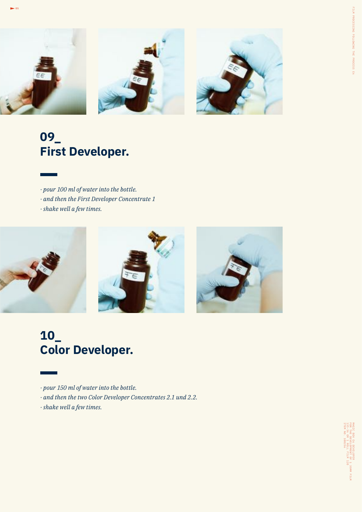

#### **09\_ First Developer.**

- *· pour 100 ml of water into the bottle.*
- *· and then the First Developer Concentrate 1*
- *· shake well a few times.*

.<br>- 05



#### **10\_ Color Developer.**

- *· pour 150 ml of water into the bottle.*
- *· and then the two Color Developer Concentrates 2.1 und 2.2.*
- *· shake well a few times.*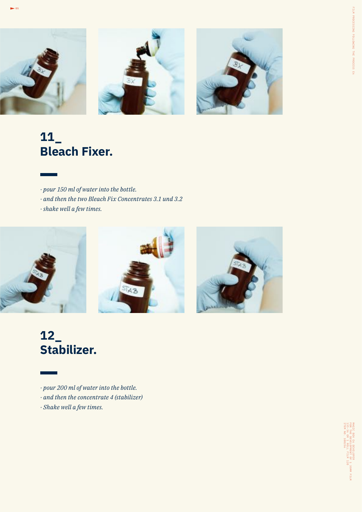

#### **11\_ Bleach Fixer.**

.<br>- 05

- *· pour 150 ml of water into the bottle.*
- *· and then the two Bleach Fix Concentrates 3.1 und 3.2*
- *· shake well a few times.*



#### **12\_ Stabilizer.**

- *· pour 200 ml of water into the bottle.*
- *· and then the concentrate 4 (stabilizer)*
- *· Shake well a few times.*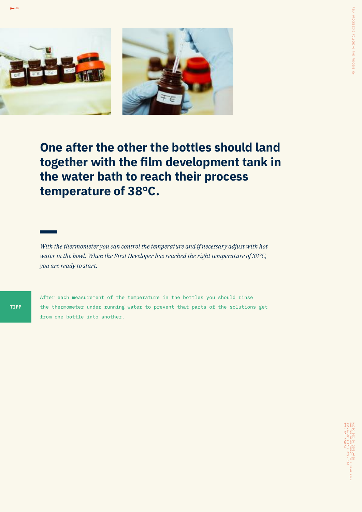



**One after the other the bottles should land together with the film development tank in the water bath to reach their process temperature of 38°C.**

*With the thermometer you can control the temperature and if necessary adjust with hot water in the bowl. When the First Developer has reached the right temperature of 38°C, you are ready to start.*

After each measurement of the temperature in the bottles you should rinse the thermometer under running water to prevent that parts of the solutions get from one bottle into another.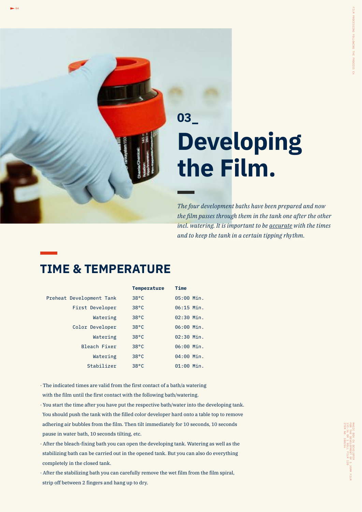## **Developing the Film. 03\_**

*The four development baths have been prepared and now the film passes through them in the tank one after the other incl. watering. It is important to be accurate with the times and to keep the tank in a certain tipping rhythm.*

#### **TIME & TEMPERATURE**

|                          | <b>Temperature</b> | <b>Time</b>  |
|--------------------------|--------------------|--------------|
| Preheat Development Tank | $38^{\circ}$ C     | 05:00 Min.   |
| First Developer          | $38^{\circ}$ C     | $06:15$ Min. |
| Watering                 | $38^{\circ}$ C     | $02:30$ Min. |
| Color Developer          | $38^{\circ}$ C     | 06:00 Min.   |
| Watering                 | $38^{\circ}$ C     | $02:30$ Min. |
| Bleach Fixer             | $38^{\circ}$ C     | 06:00 Min.   |
| Watering                 | $38^{\circ}$ C     | 04:00 Min.   |
| Stabilizer               | $38^{\circ}$ C     | $01:00$ Min. |

- · The indicated times are valid from the first contact of a bath/a watering with the film until the first contact with the following bath/watering.
- *·* You start the time after you have put the respective bath/water into the developing tank. You should push the tank with the filled color developer hard onto a table top to remove adhering air bubbles from the film. Then tilt immediately for 10 seconds, 10 seconds pause in water bath, 10 seconds tilting, etc.
- · After the bleach-fixing bath you can open the developing tank. Watering as well as the stabilizing bath can be carried out in the opened tank. But you can also do everything completely in the closed tank.
- · After the stabilizing bath you can carefully remove the wet film from the film spiral, strip off between 2 fingers and hang up to dry.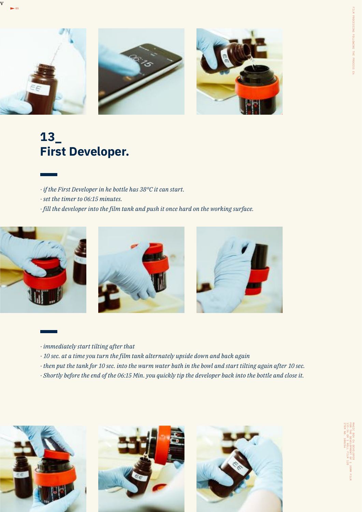

#### **13\_ First Developer.**

- *· if the First Developer in he bottle has 38°C it can start.*
- *· set the timer to 06:15 minutes.*
- *· fill the developer into the film tank and push it once hard on the working surface.*



v





- *· immediately start tilting after that*
- *· 10 sec. at a time you turn the film tank alternately upside down and back again*
- *· then put the tank for 10 sec. into the warm water bath in the bowl and start tilting again after 10 sec.*
- *· Shortly before the end of the 06:15 Min. you quickly tip the developer back into the bottle and close it.*

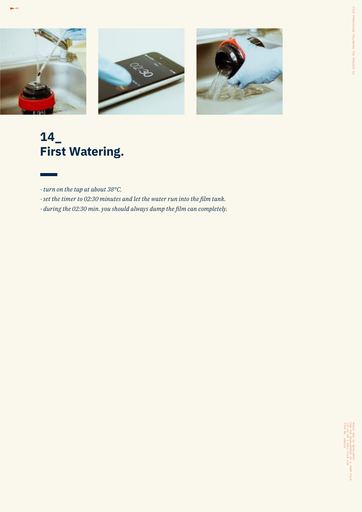

#### **14\_ First Watering.**

.<br>- 05

- *· turn on the tap at about 38°C.*
- *· set the timer to 02:30 minutes and let the water run into the film tank.*
- *· during the 02:30 min. you should always dump the film can completely.*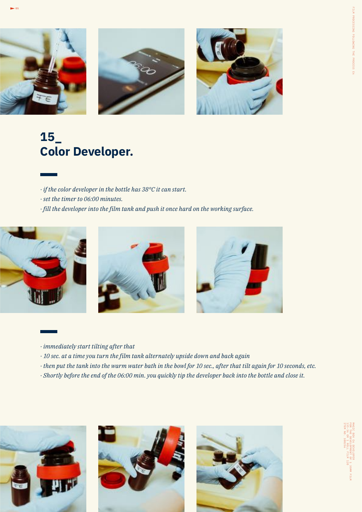



- *· if the color developer in the bottle has 38°C it can start.*
- *· set the timer to 06:00 minutes.*
- *· fill the developer into the film tank and push it once hard on the working surface.*







- *· immediately start tilting after that*
- *· 10 sec. at a time you turn the film tank alternately upside down and back again*
- *· then put the tank into the warm water bath in the bowl for 10 sec., after that tilt again for 10 seconds, etc.*
- *· Shortly before the end of the 06:00 min. you quickly tip the developer back into the bottle and close it.*

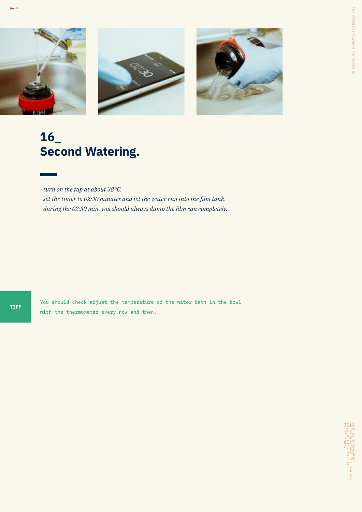

#### **16\_ Second Watering.**

- *· turn on the tap at about 38°C.*
- *· set the timer to 02:30 minutes and let the water run into the film tank.*
- *· during the 02:30 min. you should always dump the film can completely.*

.<br>- 05

You should check adjust the temperature of the water bath in the bowl with the thermometer every now and then.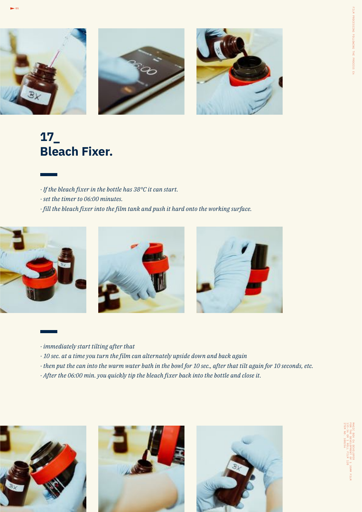





#### **17\_ Bleach Fixer.**

- *· If the bleach fixer in the bottle has 38°C it can start.*
- *· set the timer to 06:00 minutes.*
- *· fill the bleach fixer into the film tank and push it hard onto the working surface.*



- *· immediately start tilting after that*
- *· 10 sec. at a time you turn the film can alternately upside down and back again*
- *· then put the can into the warm water bath in the bowl for 10 sec., after that tilt again for 10 seconds, etc.*
- *· After the 06:00 min. you quickly tip the bleach fixer back into the bottle and close it.*

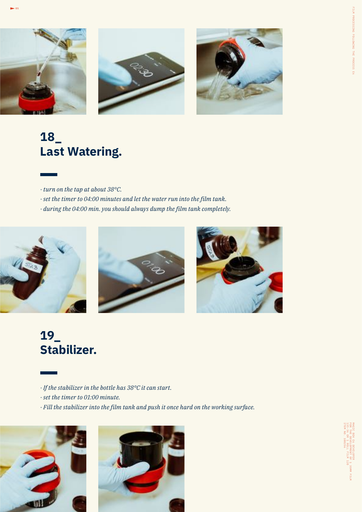





#### **18\_ Last Watering.**

- *· turn on the tap at about 38°C.*
- *· set the timer to 04:00 minutes and let the water run into the film tank.*
- *· during the 04:00 min. you should always dump the film tank completely.*







#### **19\_ Stabilizer.**

- *· If the stabilizer in the bottle has 38°C it can start.*
- *· set the timer to 01:00 minute.*
- *· Fill the stabilizer into the film tank and push it once hard on the working surface.*



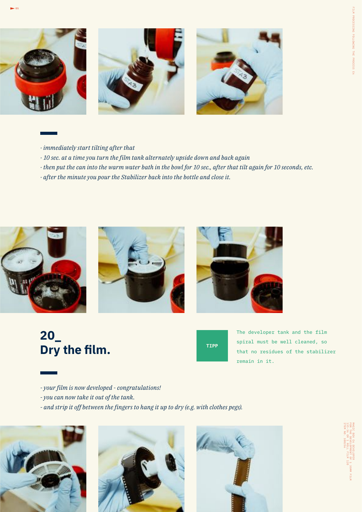





- *· immediately start tilting after that*
- *· 10 sec. at a time you turn the film tank alternately upside down and back again*
- *· then put the can into the warm water bath in the bowl for 10 sec., after that tilt again for 10 seconds, etc.*
- *· after the minute you pour the Stabilizer back into the bottle and close it.*



#### **20\_ Dry the film.**



The developer tank and the film spiral must be well cleaned, so that no residues of the stabilizer remain in it.

- *your film is now developed congratulations!*
- *you can now take it out of the tank.*
- *and strip it off between the fingers to hang it up to dry (e.g. with clothes pegs).*